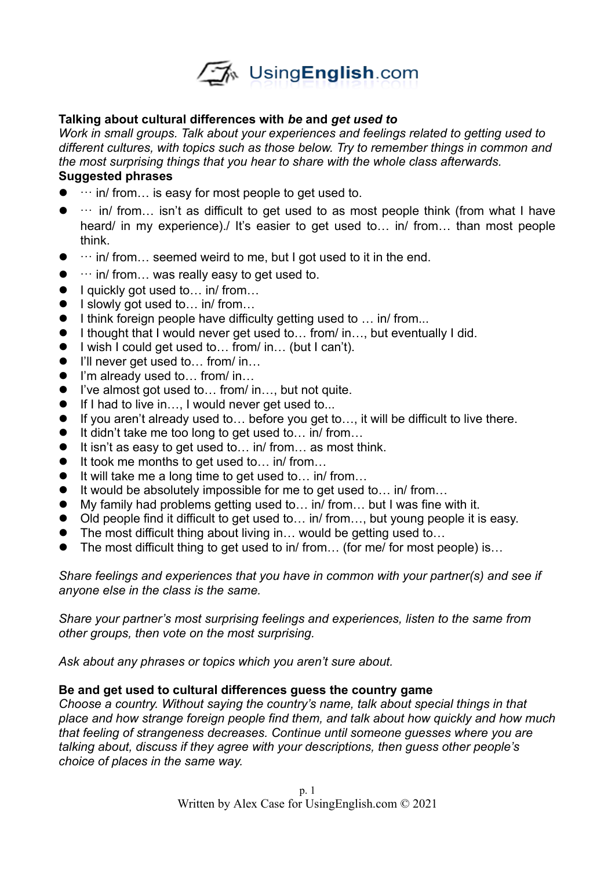

## **Talking about cultural differences with** *be* **and** *get used to*

*Work in small groups. Talk about your experiences and feelings related to getting used to different cultures, with topics such as those below. Try to remember things in common and the most surprising things that you hear to share with the whole class afterwards.* 

# **Suggested phrases**

- $\bullet$   $\cdots$  in/ from... is easy for most people to get used to.
- $\bullet$   $\cdots$  in/ from... isn't as difficult to get used to as most people think (from what I have heard/ in my experience)./ It's easier to get used to... in/ from... than most people think.
- $\bullet$   $\cdots$  in/ from... seemed weird to me, but I got used to it in the end.
- $\bullet$   $\cdots$  in/ from... was really easy to get used to.
- I quickly got used to... in/ from...
- $\bullet$  I slowly got used to... in/ from...
- $\bullet$  I think foreign people have difficulty getting used to  $\ldots$  in/ from...
- I thought that I would never get used to... from/ in..., but eventually I did.
- I wish I could get used to... from/ in... (but I can't).
- I'll never get used to... from/ in...
- I'm already used to... from/ in...
- I've almost got used to... from/ in..., but not quite.
- If I had to live in..., I would never get used to...
- If you aren't already used to... before you get to..., it will be difficult to live there.
- $\bullet$  It didn't take me too long to get used to... in/ from...
- $\bullet$  It isn't as easy to get used to... in/ from... as most think.
- $\bullet$  It took me months to get used to... in/ from...
- $\bullet$  It will take me a long time to get used to... in/ from...
- $\bullet$  It would be absolutely impossible for me to get used to... in/ from...
- My family had problems getting used to... in/ from... but I was fine with it.
- Old people find it difficult to get used to... in/ from..., but young people it is easy.
- The most difficult thing about living in... would be getting used to...
- The most difficult thing to get used to in/ from... (for me/ for most people) is...

*Share feelings and experiences that you have in common with your partner(s) and see if anyone else in the class is the same.*

*Share your partner's most surprising feelings and experiences, listen to the same from other groups, then vote on the most surprising.* 

*Ask about any phrases or topics which you aren't sure about.*

#### **Be and get used to cultural differences guess the country game**

*Choose a country. Without saying the country's name, talk about special things in that place and how strange foreign people find them, and talk about how quickly and how much that feeling of strangeness decreases. Continue until someone guesses where you are talking about, discuss if they agree with your descriptions, then guess other people's choice of places in the same way.*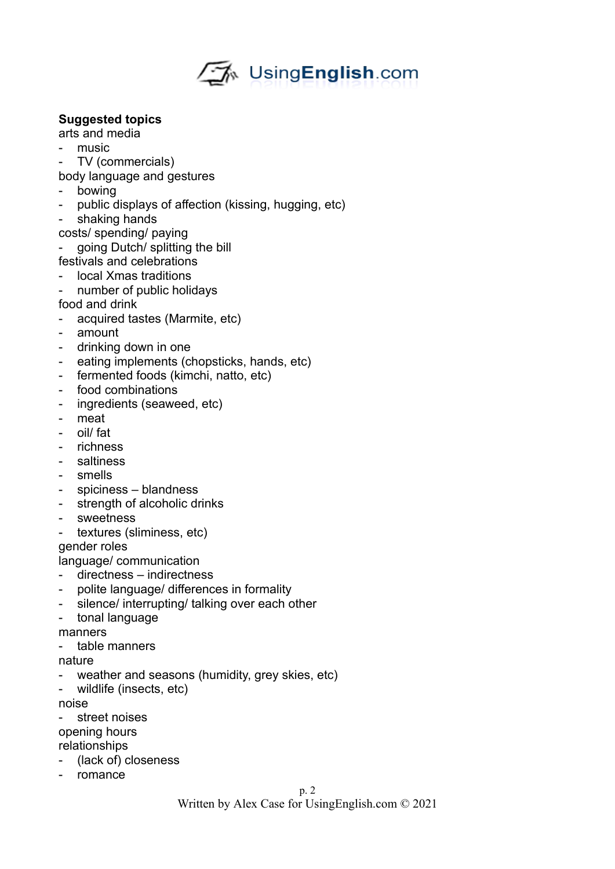# √My UsingEnglish.com

## **Suggested topics**

arts and media

- music
- TV (commercials)
- body language and gestures
- bowing
- public displays of affection (kissing, hugging, etc)
- shaking hands
- costs/ spending/ paying
- going Dutch/ splitting the bill
- festivals and celebrations
- local Xmas traditions
- number of public holidays
- food and drink
- acquired tastes (Marmite, etc)
- amount
- drinking down in one
- eating implements (chopsticks, hands, etc)
- fermented foods (kimchi, natto, etc)
- food combinations
- ingredients (seaweed, etc)
- meat
- oil/ fat
- richness
- saltiness
- smells
- spiciness blandness
- strength of alcoholic drinks
- sweetness
- textures (sliminess, etc)

gender roles

language/ communication

- directness indirectness
- polite language/ differences in formality
- silence/ interrupting/ talking over each other
- tonal language

manners

- table manners

nature

- weather and seasons (humidity, grey skies, etc)
- wildlife (insects, etc)

noise

street noises opening hours

relationships

- (lack of) closeness
- romance